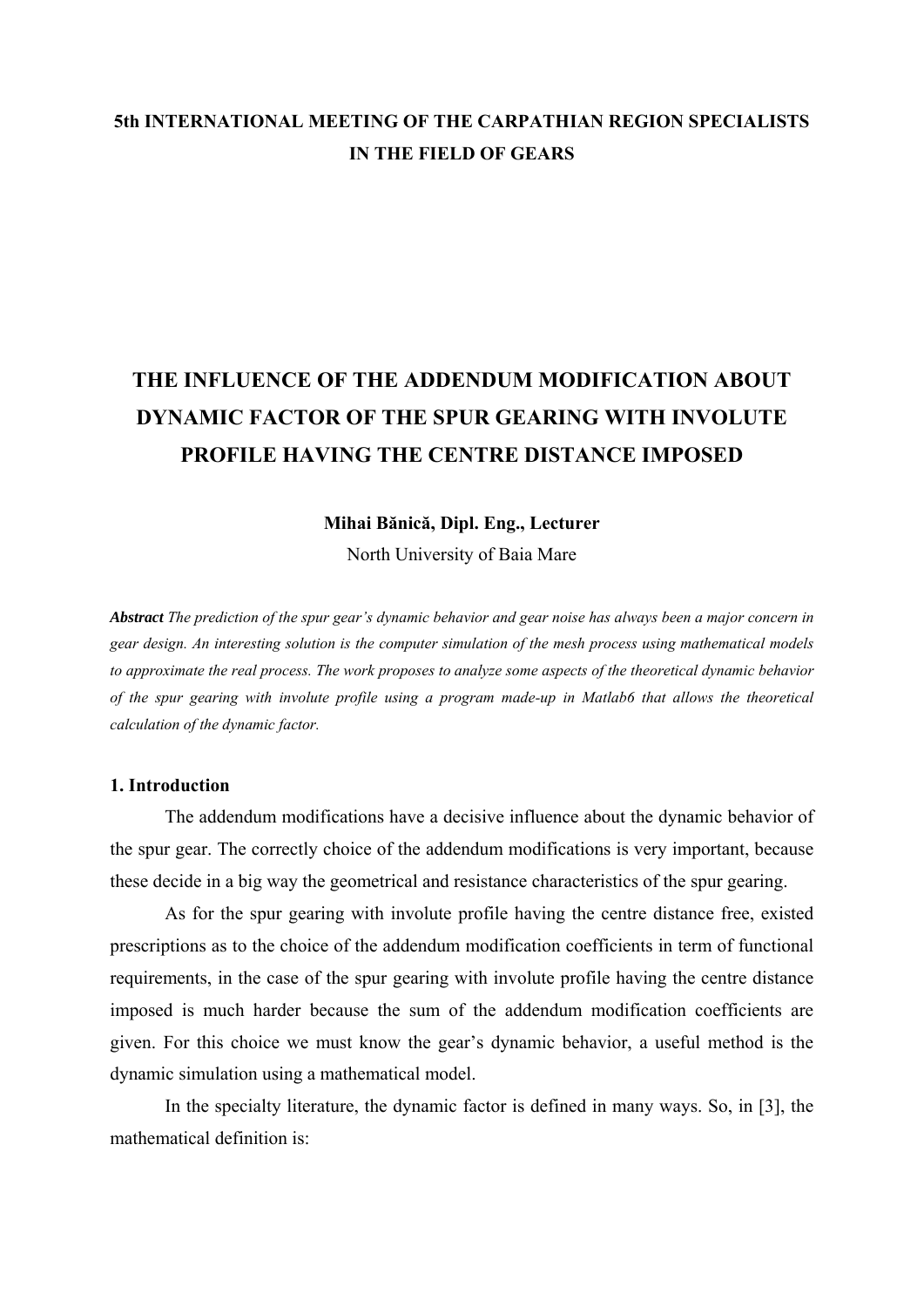# **5th INTERNATIONAL MEETING OF THE CARPATHIAN REGION SPECIALISTS IN THE FIELD OF GEARS**

# **THE INFLUENCE OF THE ADDENDUM MODIFICATION ABOUT DYNAMIC FACTOR OF THE SPUR GEARING WITH INVOLUTE PROFILE HAVING THE CENTRE DISTANCE IMPOSED**

#### **Mihai Bănică, Dipl. Eng., Lecturer**

North University of Baia Mare

*Abstract The prediction of the spur gear's dynamic behavior and gear noise has always been a major concern in gear design. An interesting solution is the computer simulation of the mesh process using mathematical models to approximate the real process. The work proposes to analyze some aspects of the theoretical dynamic behavior of the spur gearing with involute profile using a program made-up in Matlab6 that allows the theoretical calculation of the dynamic factor.* 

#### **1. Introduction**

The addendum modifications have a decisive influence about the dynamic behavior of the spur gear. The correctly choice of the addendum modifications is very important, because these decide in a big way the geometrical and resistance characteristics of the spur gearing.

As for the spur gearing with involute profile having the centre distance free, existed prescriptions as to the choice of the addendum modification coefficients in term of functional requirements, in the case of the spur gearing with involute profile having the centre distance imposed is much harder because the sum of the addendum modification coefficients are given. For this choice we must know the gear's dynamic behavior, a useful method is the dynamic simulation using a mathematical model.

In the specialty literature, the dynamic factor is defined in many ways. So, in [3], the mathematical definition is: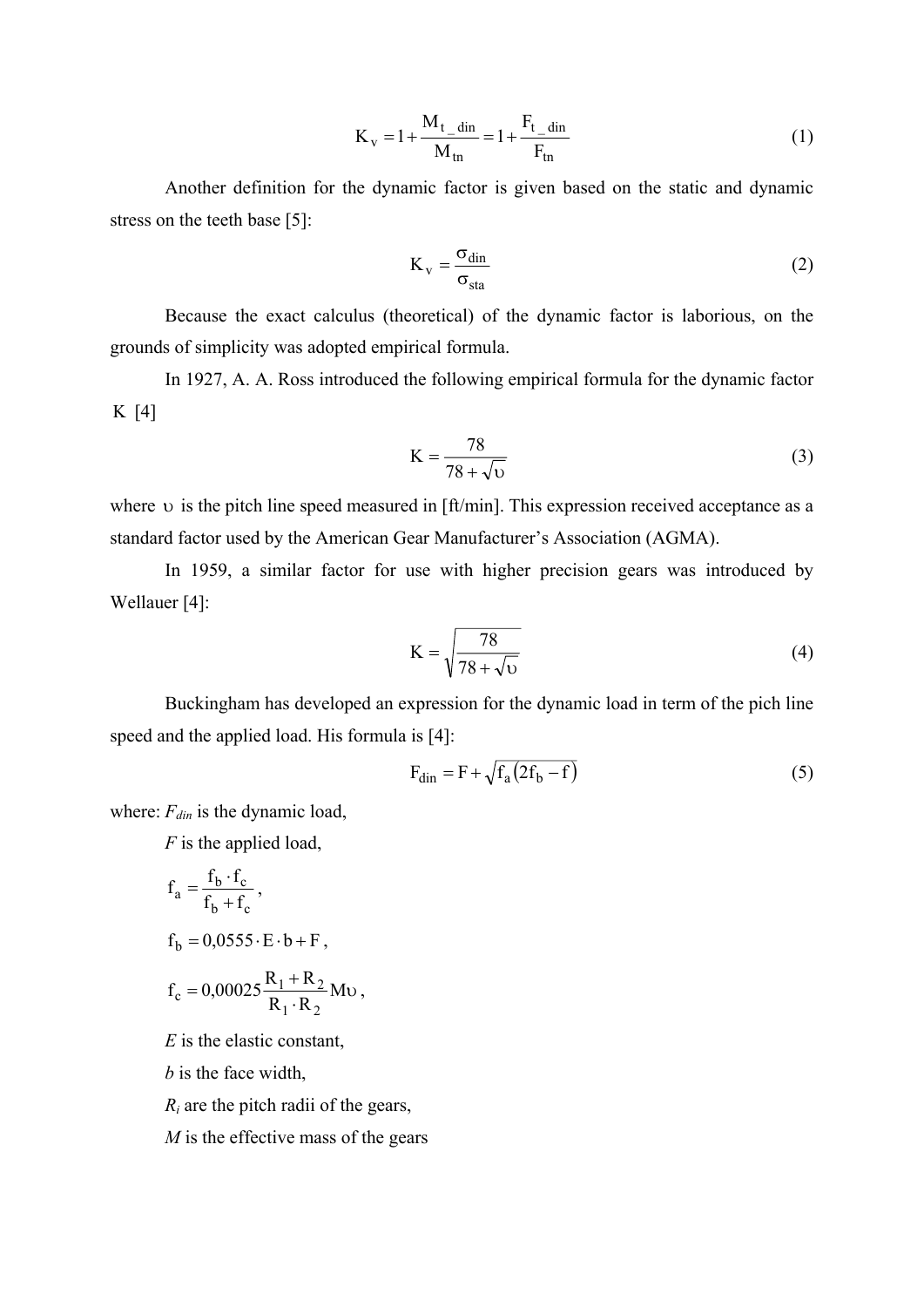$$
K_v = 1 + \frac{M_{t\_din}}{M_{tn}} = 1 + \frac{F_{t\_din}}{F_{tn}}
$$
 (1)

Another definition for the dynamic factor is given based on the static and dynamic stress on the teeth base [5]:

$$
K_v = \frac{\sigma_{\text{din}}}{\sigma_{\text{sta}}}
$$
 (2)

Because the exact calculus (theoretical) of the dynamic factor is laborious, on the grounds of simplicity was adopted empirical formula.

In 1927, A. A. Ross introduced the following empirical formula for the dynamic factor K [4]

$$
K = \frac{78}{78 + \sqrt{v}}
$$
 (3)

where  $\upsilon$  is the pitch line speed measured in [ft/min]. This expression received acceptance as a standard factor used by the American Gear Manufacturer's Association (AGMA).

In 1959, a similar factor for use with higher precision gears was introduced by Wellauer [4]:

$$
K = \sqrt{\frac{78}{78 + \sqrt{v}}}
$$
\n(4)

Buckingham has developed an expression for the dynamic load in term of the pich line speed and the applied load. His formula is [4]:

$$
F_{\text{dim}} = F + \sqrt{f_a (2f_b - f)}
$$
\n(5)

where:  $F_{din}$  is the dynamic load,

*F* is the applied load,

$$
f_a = \frac{f_b \cdot f_c}{f_b + f_c},
$$
  
\n
$$
f_b = 0,0555 \cdot E \cdot b + F,
$$
  
\n
$$
f_c = 0,00025 \frac{R_1 + R_2}{R_1 \cdot R_2} Mv,
$$

*E* is the elastic constant,

*b* is the face width,

*Ri* are the pitch radii of the gears,

*M* is the effective mass of the gears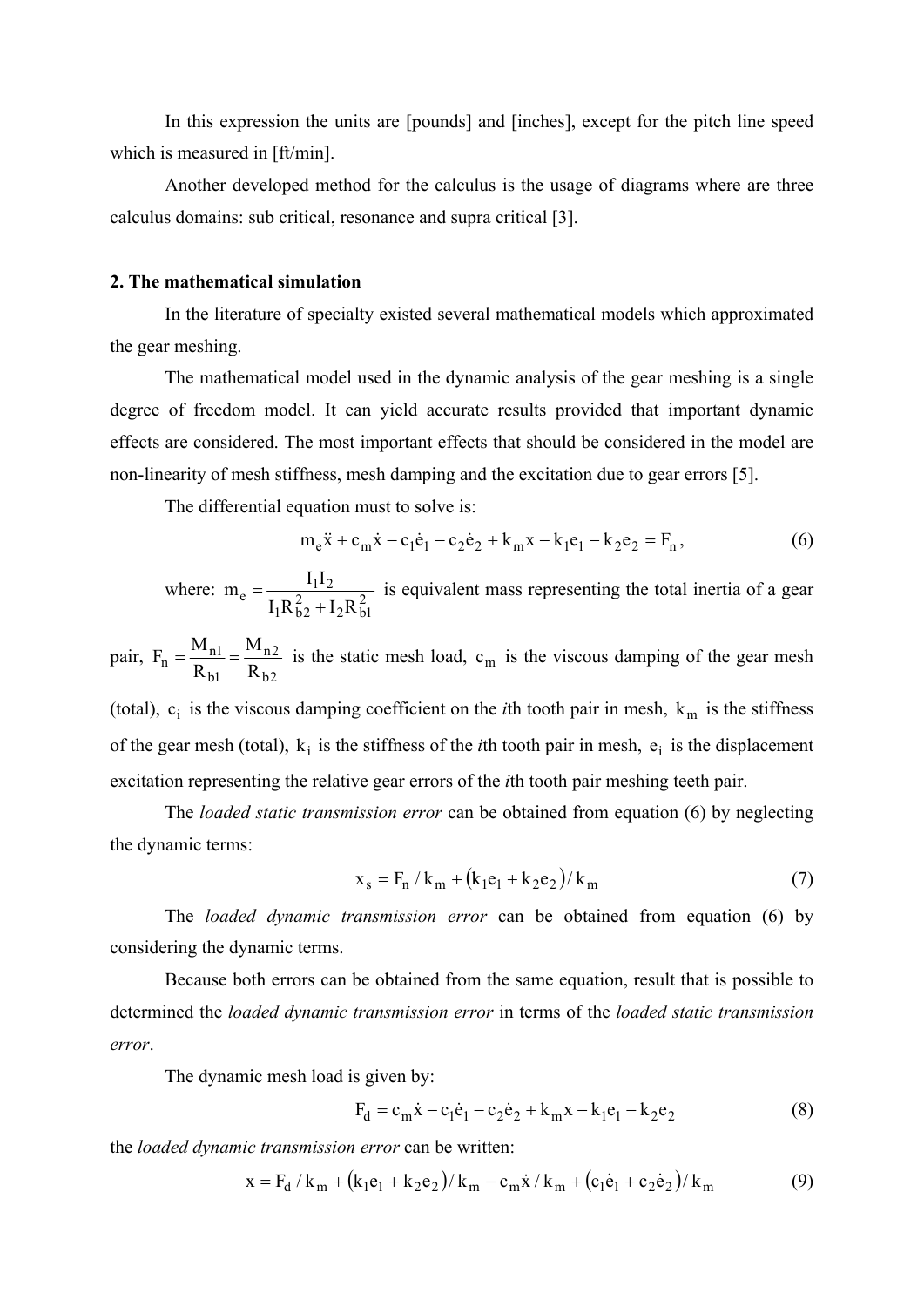In this expression the units are [pounds] and [inches], except for the pitch line speed which is measured in [ft/min].

Another developed method for the calculus is the usage of diagrams where are three calculus domains: sub critical, resonance and supra critical [3].

#### **2. The mathematical simulation**

In the literature of specialty existed several mathematical models which approximated the gear meshing.

The mathematical model used in the dynamic analysis of the gear meshing is a single degree of freedom model. It can yield accurate results provided that important dynamic effects are considered. The most important effects that should be considered in the model are non-linearity of mesh stiffness, mesh damping and the excitation due to gear errors [5].

The differential equation must to solve is:

$$
m_e \ddot{x} + c_m \dot{x} - c_1 \dot{e}_1 - c_2 \dot{e}_2 + k_m x - k_1 e_1 - k_2 e_2 = F_n,
$$
\n(6)

where:  $m_e = \frac{112}{1 R^2 + 1 R^2}$  $2^{\mathbf{R}}$ b1 2  $m_e = \frac{I_1 I_2}{I_1 R_{b2}^2 + I_2 R_{b1}^2}$  is equivalent mass representing the total inertia of a gear

pair,  $b2$  $n2$  $\frac{M_{\rm nl}}{R_{\rm bl}} = \frac{M}{R}$  $F_n = \frac{M_{n1}}{R_{b1}} = \frac{M_{n2}}{R_{b2}}$  is the static mesh load,  $c_m$  is the viscous damping of the gear mesh

(total),  $c_i$  is the viscous damping coefficient on the *i*th tooth pair in mesh,  $k_m$  is the stiffness of the gear mesh (total),  $k_i$  is the stiffness of the *i*th tooth pair in mesh,  $e_i$  is the displacement excitation representing the relative gear errors of the *i*th tooth pair meshing teeth pair.

The *loaded static transmission error* can be obtained from equation (6) by neglecting the dynamic terms:

$$
x_s = F_n / k_m + (k_1 e_1 + k_2 e_2) / k_m
$$
 (7)

The *loaded dynamic transmission error* can be obtained from equation (6) by considering the dynamic terms.

Because both errors can be obtained from the same equation, result that is possible to determined the *loaded dynamic transmission error* in terms of the *loaded static transmission error*.

The dynamic mesh load is given by:

$$
F_d = c_m \dot{x} - c_1 \dot{e}_1 - c_2 \dot{e}_2 + k_m x - k_1 e_1 - k_2 e_2
$$
 (8)

the *loaded dynamic transmission error* can be written:

$$
x = F_d / k_m + (k_1 e_1 + k_2 e_2) / k_m - c_m \dot{x} / k_m + (c_1 \dot{e}_1 + c_2 \dot{e}_2) / k_m
$$
(9)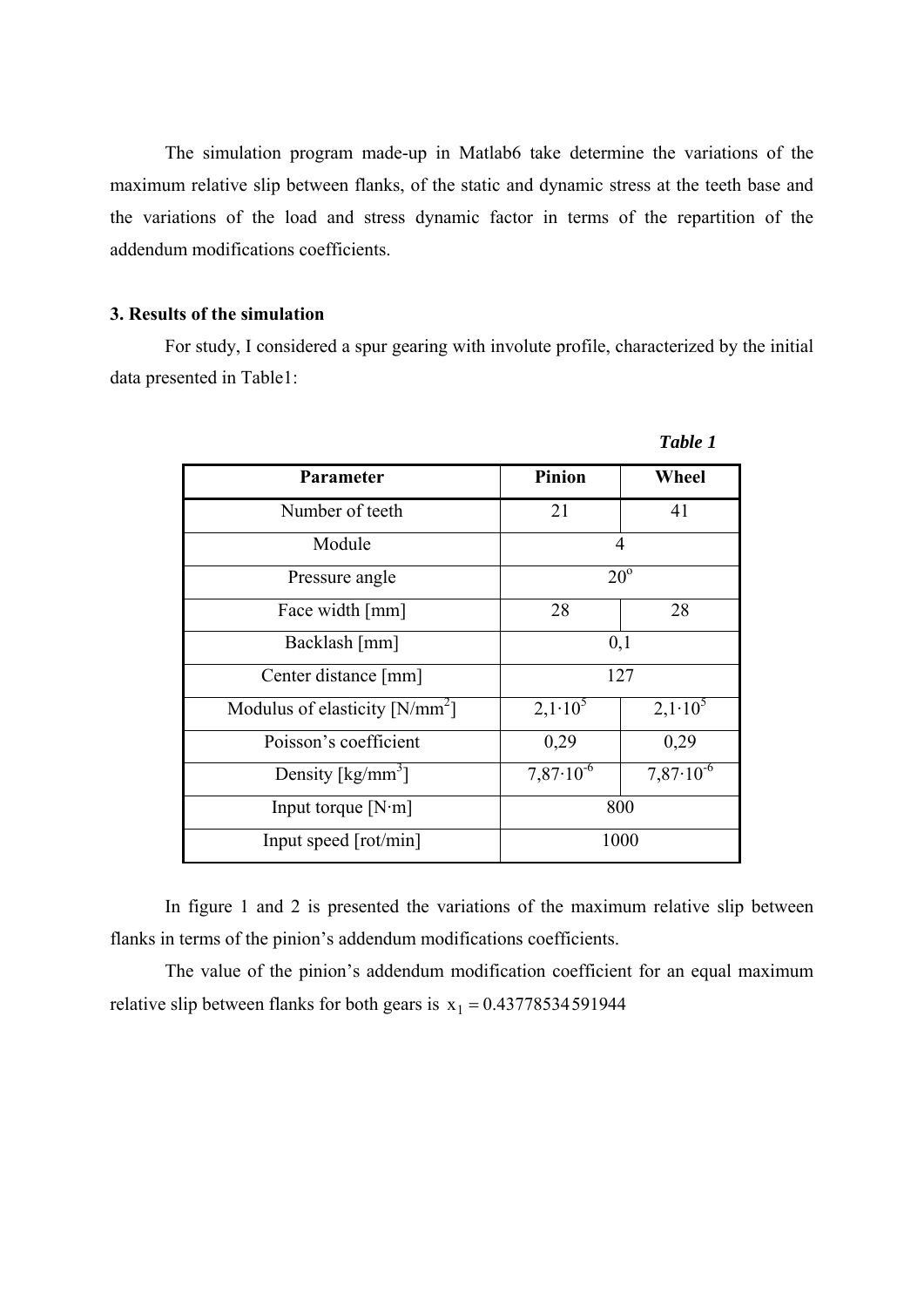The simulation program made-up in Matlab6 take determine the variations of the maximum relative slip between flanks, of the static and dynamic stress at the teeth base and the variations of the load and stress dynamic factor in terms of the repartition of the addendum modifications coefficients.

## **3. Results of the simulation**

For study, I considered a spur gearing with involute profile, characterized by the initial data presented in Table1:

|                                  |                      | <i>Luvie 1</i>       |
|----------------------------------|----------------------|----------------------|
| Parameter                        | <b>Pinion</b>        | Wheel                |
| Number of teeth                  | 21                   | 41                   |
| Module                           | $\overline{4}$       |                      |
| Pressure angle                   | $20^{\circ}$         |                      |
| Face width [mm]                  | 28                   | 28                   |
| Backlash [mm]                    | 0,1                  |                      |
| Center distance [mm]             | 127                  |                      |
| Modulus of elasticity $[N/mm^2]$ | $2,1.10^5$           | $2,1.10^5$           |
| Poisson's coefficient            | 0,29                 | 0,29                 |
| Density [ $\text{kg/mm}^3$ ]     | $7,87 \cdot 10^{-6}$ | $7,87 \cdot 10^{-6}$ |
| Input torque $[N\cdot m]$        | 800                  |                      |
| Input speed [rot/min]            | 1000                 |                      |

In figure 1 and 2 is presented the variations of the maximum relative slip between flanks in terms of the pinion's addendum modifications coefficients.

The value of the pinion's addendum modification coefficient for an equal maximum relative slip between flanks for both gears is  $x_1 = 0.43778534591944$ 

*Table 1*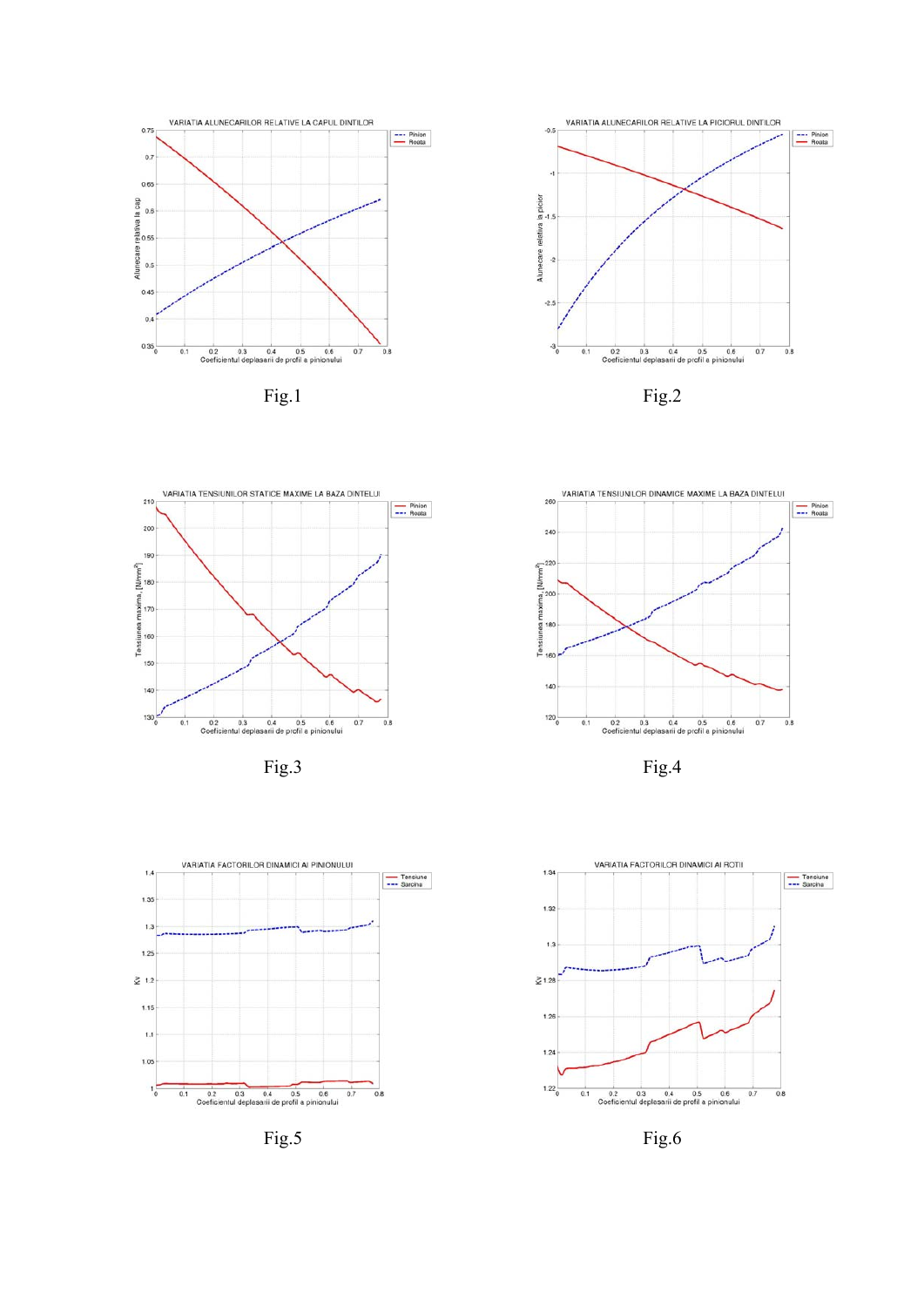